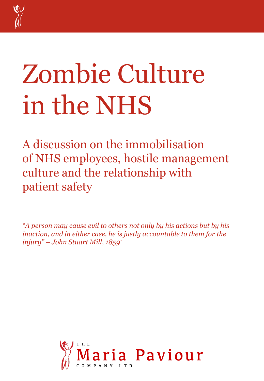

## Zombie Culture in the NHS

A discussion on the immobilisation of NHS employees, hostile management culture and the relationship with patient safety

*"A person may cause evil to others not only by his actions but by his inaction, and in either case, he is justly accountable to them for the injury" – John Stuart Mill, 1859<sup>1</sup>*

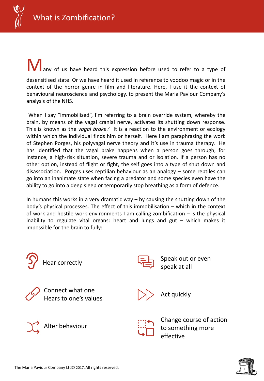

analysis of the NHS.

**M** any of us have heard this expression before used to refer to a type of desensitised state. Or we have heard it used in reference to voodoo magic or in the context of the horror genre in film and literature. Here, I use it the context of behavioural neuroscience and psychology, to present the Maria Paviour Company's

When I say "immobilised", I'm referring to a brain override system, whereby the brain, by means of the vagal cranial nerve, activates its shutting down response. This is known as the *vagal brake*.<sup>2</sup> It is a reaction to the environment or ecology within which the individual finds him or herself. Here I am paraphrasing the work of Stephen Porges, his polyvagal nerve theory and it's use in trauma therapy. He has identified that the vagal brake happens when a person goes through, for instance, a high-risk situation, severe trauma and or isolation. If a person has no other option, instead of flight or fight, the self goes into a type of shut down and disassociation. Porges uses reptilian behaviour as an analogy – some reptiles can go into an inanimate state when facing a predator and some species even have the ability to go into a deep sleep or temporarily stop breathing as a form of defence.

In humans this works in a very dramatic way – by causing the shutting down of the body's physical processes. The effect of this immobilisation – which in the context of work and hostile work environments I am calling zombification – is the physical inability to regulate vital organs: heart and lungs and gut – which makes it impossible for the brain to fully:



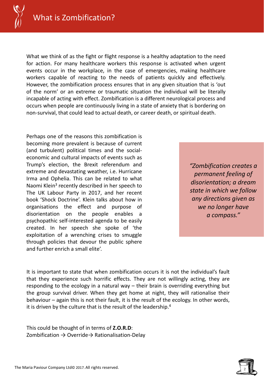

What we think of as the fight or flight response is a healthy adaptation to the need for action. For many healthcare workers this response is activated when urgent events occur in the workplace, in the case of emergencies, making healthcare workers capable of reacting to the needs of patients quickly and effectively. However, the zombification process ensures that in any given situation that is 'out of the norm' or an extreme or traumatic situation the individual will be literally incapable of acting with effect. Zombification is a different neurological process and occurs when people are continuously living in a state of anxiety that is bordering on non-survival, that could lead to actual death, or career death, or spiritual death.

Perhaps one of the reasons this zombification is becoming more prevalent is because of current (and turbulent) political times and the socialeconomic and cultural impacts of events such as Trump's election, the Brexit referendum and extreme and devastating weather, i.e. Hurricane Irma and Ophelia. This can be related to what Naomi Klein<sup>3</sup> recently described in her speech to The UK Labour Party in 2017, and her recent book 'Shock Doctrine'. Klein talks about how in organisations the effect and purpose of disorientation on the people enables a psychopathic self-interested agenda to be easily created. In her speech she spoke of 'the exploitation of a wrenching crises to smuggle through policies that devour the public sphere and further enrich a small elite'.

*"Zombification creates a permanent feeling of disorientation; a dream state in which we follow any directions given as we no longer have a compass."*

It is important to state that when zombification occurs it is not the individual's fault that they experience such horrific effects. They are not willingly acting, they are responding to the ecology in a natural way – their brain is overriding everything but the group survival driver. When they get home at night, they will rationalise their behaviour – again this is not their fault, it is the result of the ecology. In other words, it is driven by the culture that is the result of the leadership. 4

This could be thought of in terms of **Z.O.R.D**: Zombification  $\rightarrow$  Override $\rightarrow$  Rationalisation-Delay

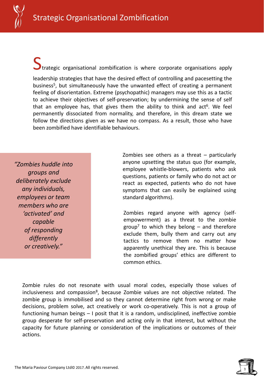

Strategic organisational zombification is where corporate organisations apply

leadership strategies that have the desired effect of controlling and pacesetting the business<sup>5</sup>, but simultaneously have the unwanted effect of creating a permanent feeling of disorientation. Extreme (psychopathic) managers may use this as a tactic to achieve their objectives of self-preservation; by undermining the sense of self that an employee has, that gives them the ability to think and act<sup>6</sup>. We feel permanently dissociated from normality, and therefore, in this dream state we follow the directions given as we have no compass. As a result, those who have been zombified have identifiable behaviours.

*"Zombies huddle into groups and deliberately exclude any individuals, employees or team members who are 'activated' and capable of responding differently or creatively."*

Zombies see others as a threat – particularly anyone upsetting the status quo (for example, employee whistle-blowers, patients who ask questions, patients or family who do not act or react as expected, patients who do not have symptoms that can easily be explained using standard algorithms).

Zombies regard anyone with agency (selfempowerment) as a threat to the zombie group<sup>7</sup> to which they belong – and therefore exclude them, bully them and carry out any tactics to remove them no matter how apparently unethical they are. This is because the zombified groups' ethics are different to common ethics.

Zombie rules do not resonate with usual moral codes, especially those values of inclusiveness and compassion<sup>8</sup>, because Zombie values are not objective related. The zombie group is immobilised and so they cannot determine right from wrong or make decisions, problem solve, act creatively or work co-operatively. This is not a group of functioning human beings – I posit that it is a random, undisciplined, ineffective zombie group desperate for self-preservation and acting only in that interest, but without the capacity for future planning or consideration of the implications or outcomes of their actions.

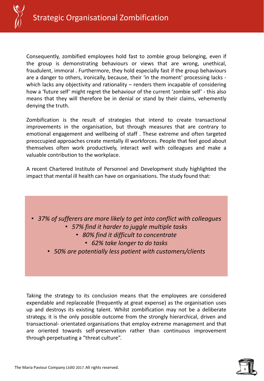

Consequently, zombified employees hold fast to zombie group belonging, even if the group is demonstrating behaviours or views that are wrong, unethical, fraudulent, immoral . Furthermore, they hold especially fast if the group behaviours are a danger to others, ironically, because, their 'in the moment' processing lacks which lacks any objectivity and rationality – renders them incapable of considering how a 'future self' might regret the behaviour of the current 'zombie self' - this also means that they will therefore be in denial or stand by their claims, vehemently denying the truth.

Zombification is the result of strategies that intend to create transactional improvements in the organisation, but through measures that are contrary to emotional engagement and wellbeing of staff . These extreme and often targeted preoccupied approaches create mentally ill workforces. People that feel good about themselves often work productively, interact well with colleagues and make a valuable contribution to the workplace.

A recent Chartered Institute of Personnel and Development study highlighted the impact that mental ill health can have on organisations. The study found that:



Taking the strategy to its conclusion means that the employees are considered expendable and replaceable (frequently at great expense) as the organisation uses up and destroys its existing talent. Whilst zombification may not be a deliberate strategy, it is the only possible outcome from the strongly hierarchical, driven and transactional- orientated organisations that employ extreme management and that are oriented towards self-preservation rather than continuous improvement through perpetuating a "threat culture".

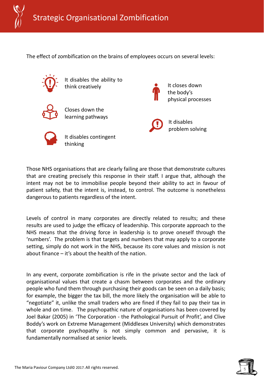

The effect of zombification on the brains of employees occurs on several levels:



It disables the ability to think creatively



Closes down the learning pathways



It disables contingent thinking

It closes down the body's physical processes



Those NHS organisations that are clearly failing are those that demonstrate cultures that are creating precisely this response in their staff. I argue that, although the intent may not be to immobilise people beyond their ability to act in favour of patient safety, that the intent is, instead, to control. The outcome is nonetheless dangerous to patients regardless of the intent.

Levels of control in many corporates are directly related to results; and these results are used to judge the efficacy of leadership. This corporate approach to the NHS means that the driving force in leadership is to prove oneself through the 'numbers'. The problem is that targets and numbers that may apply to a corporate setting, simply do not work in the NHS, because its core values and mission is not about finance – it's about the health of the nation.

In any event, corporate zombification is rife in the private sector and the lack of organisational values that create a chasm between corporates and the ordinary people who fund them through purchasing their goods can be seen on a daily basis; for example, the bigger the tax bill, the more likely the organisation will be able to "negotiate" it, unlike the small traders who are fined if they fail to pay their tax in whole and on time. The psychopathic nature of organisations has been covered by Joel Bakar (2005) in 'The Corporation - the Pathological Pursuit of Profit', and Clive Boddy's work on Extreme Management (Middlesex University) which demonstrates that corporate psychopathy is not simply common and pervasive, it is fundamentally normalised at senior levels.

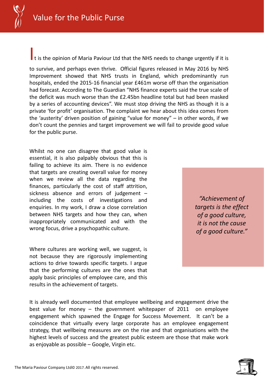It is the opinion of Maria Paviour Ltd that the NHS needs to change urgently if it is

to survive, and perhaps even thrive. Official figures released in May 2016 by NHS Improvement showed that NHS trusts in England, which predominantly run hospitals, ended the 2015-16 financial year £461m worse off than the organisation had forecast. According to The Guardian "NHS finance experts said the true scale of the deficit was much worse than the £2.45bn headline total but had been masked by a series of accounting devices". We must stop driving the NHS as though it is a private 'for profit' organisation. The complaint we hear about this idea comes from the 'austerity' driven position of gaining "value for money" – in other words, if we don't count the pennies and target improvement we will fail to provide good value for the public purse.

Whilst no one can disagree that good value is essential, it is also palpably obvious that this is failing to achieve its aim. There is no evidence that targets are creating overall value for money when we review all the data regarding the finances, particularly the cost of staff attrition, sickness absence and errors of judgement – including the costs of investigations and enquiries. In my work, I draw a close correlation between NHS targets and how they can, when inappropriately communicated and with the wrong focus, drive a psychopathic culture.

Where cultures are working well, we suggest, is not because they are rigorously implementing actions to drive towards specific targets. I argue that the performing cultures are the ones that apply basic principles of employee care, and this results in the achievement of targets.

*"Achievement of targets is the effect of a good culture, it is not the cause of a good culture."*

It is already well documented that employee wellbeing and engagement drive the best value for money – the government whitepaper of 2011 on employee engagement which spawned the Engage for Success Movement. It can't be a coincidence that virtually every large corporate has an employee engagement strategy, that wellbeing measures are on the rise and that organisations with the highest levels of success and the greatest public esteem are those that make work as enjoyable as possible – Google, Virgin etc.

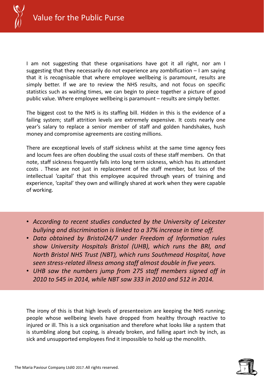

I am not suggesting that these organisations have got it all right, nor am I suggesting that they necessarily do not experience any zombification – I am saying that it is recognisable that where employee wellbeing is paramount, results are simply better. If we are to review the NHS results, and not focus on specific statistics such as waiting times, we can begin to piece together a picture of good public value. Where employee wellbeing is paramount – results are simply better.

The biggest cost to the NHS is its staffing bill. Hidden in this is the evidence of a failing system; staff attrition levels are extremely expensive. It costs nearly one year's salary to replace a senior member of staff and golden handshakes, hush money and compromise agreements are costing millions.

There are exceptional levels of staff sickness whilst at the same time agency fees and locum fees are often doubling the usual costs of these staff members. On that note, staff sickness frequently falls into long term sickness, which has its attendant costs . These are not just in replacement of the staff member, but loss of the intellectual 'capital' that this employee acquired through years of training and experience, 'capital' they own and willingly shared at work when they were capable of working.

- *According to recent studies conducted by the University of Leicester bullying and discrimination is linked to a 37% increase in time off.*
- *Data obtained by Bristol24/7 under Freedom of Information rules show University Hospitals Bristol (UHB), which runs the BRI, and North Bristol NHS Trust (NBT), which runs Southmead Hospital, have seen stress-related illness among staff almost double in five years.*
- *UHB saw the numbers jump from 275 staff members signed off in 2010 to 545 in 2014, while NBT saw 333 in 2010 and 512 in 2014.*

The irony of this is that high levels of presenteeism are keeping the NHS running; people whose wellbeing levels have dropped from healthy through reactive to injured or ill. This is a sick organisation and therefore what looks like a system that is stumbling along but coping, is already broken, and falling apart inch by inch, as sick and unsupported employees find it impossible to hold up the monolith.

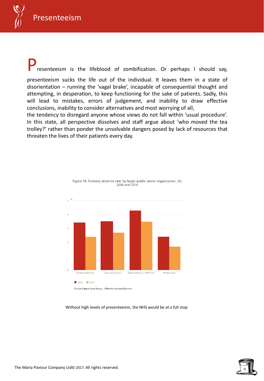

resenteeism is the lifeblood of zombification. Or perhaps I should say,

presenteeism sucks the life out of the individual. It leaves them in a state of disorientation – running the 'vagal brake', incapable of consequential thought and attempting, in desperation, to keep functioning for the sake of patients. Sadly, this will lead to mistakes, errors of judgement, and inability to draw effective conclusions, inability to consider alternatives and most worrying of all,

the tendency to disregard anyone whose views do not fall within 'usual procedure'. In this state, all perspective dissolves and staff argue about 'who moved the tea trolley?' rather than ponder the unsolvable dangers posed by lack of resources that threaten the lives of their patients every day.



Figure 10. Sickness absence rate: by larger public sector organisation, UK, 2004 and 2016

## Without high levels of presenteeism, the NHS would be at a full stop

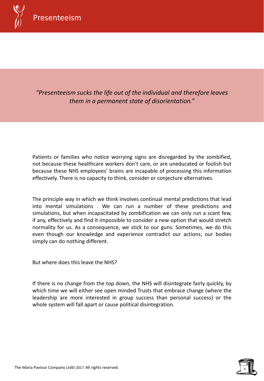

*"Presenteeism sucks the life out of the individual and therefore leaves them in a permanent state of disorientation."*

Patients or families who notice worrying signs are disregarded by the zombified, not because these healthcare workers don't care, or are uneducated or foolish but because these NHS employees' brains are incapable of processing this information effectively. There is no capacity to think, consider or conjecture alternatives.

The principle way in which we think involves continual mental predictions that lead into mental simulations . We can run a number of these predictions and simulations, but when incapacitated by zombification we can only run a scant few, if any, effectively and find it impossible to consider a new option that would stretch normality for us. As a consequence, we stick to our guns. Sometimes, we do this even though our knowledge and experience contradict our actions; our bodies simply can do nothing different.

But where does this leave the NHS?

If there is no change from the top down, the NHS will disintegrate fairly quickly, by which time we will either see open minded Trusts that embrace change (where the leadership are more interested in group success than personal success) or the whole system will fall apart or cause political disintegration.

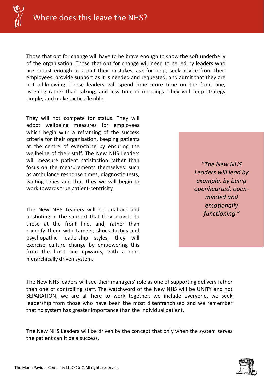

Those that opt for change will have to be brave enough to show the soft underbelly of the organisation. Those that opt for change will need to be led by leaders who are robust enough to admit their mistakes, ask for help, seek advice from their employees, provide support as it is needed and requested, and admit that they are not all-knowing. These leaders will spend time more time on the front line, listening rather than talking, and less time in meetings. They will keep strategy simple, and make tactics flexible.

They will not compete for status. They will adopt wellbeing measures for employees which begin with a reframing of the success criteria for their organisation, keeping patients at the centre of everything by ensuring the wellbeing of their staff. The New NHS Leaders will measure patient satisfaction rather than focus on the measurements themselves: such as ambulance response times, diagnostic tests, waiting times and thus they we will begin to work towards true patient-centricity.

The New NHS Leaders will be unafraid and unstinting in the support that they provide to those at the front line, and, rather than zombify them with targets, shock tactics and psychopathic leadership styles, they will exercise culture change by empowering this from the front line upwards, with a nonhierarchically driven system.

*"The New NHS Leaders will lead by example, by being openhearted, openminded and emotionally functioning."*

The New NHS leaders will see their managers' role as one of supporting delivery rather than one of controlling staff. The watchword of the New NHS will be UNITY and not SEPARATION, we are all here to work together, we include everyone, we seek leadership from those who have been the most disenfranchised and we remember that no system has greater importance than the individual patient.

The New NHS Leaders will be driven by the concept that only when the system serves the patient can it be a success.

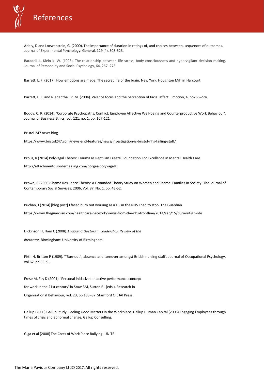

Ariely, D and Loewenstein, G. (2000). The importance of duration in ratings of, and choices between, sequences of outcomes. Journal of Experimental Psychology: General, 129 (4), 508-523.

Baradell J., Klein K. W. (1993). The relationship between life stress, body consciousness and hypervigilant decision making. Journal of Personality and Social Psychology, 64, 267–273

Barrett, L. F. (2017). How emotions are made: The secret life of the brain. New York: Houghton Mifflin Harcourt.

Barrett, L. F. and Niedenthal, P. M. (2004). Valence focus and the perception of facial affect. Emotion, 4, pp266-274.

Boddy, C. R. (2014). 'Corporate Psychopaths, Conflict, Employee Affective Well-being and Counterproductive Work Behaviour', Journal of Business Ethics, vol. 121, no. 1, pp. 107-121.

Bristol 247 news blog

https://www.bristol247.com/news-and-features/news/investigation-is-bristol-nhs-failing-staff/

Brous, K (2014) Polyvagal Theory: Trauma as Reptilian Freeze. Foundation For Excellence in Mental Health Care

http://attachmentdisorderhealing.com/porges-polyvagal/

Brown, B (2006) Shame Resilience Theory: A Grounded Theory Study on Women and Shame. Families in Society: The Journal of Contemporary Social Services: 2006, Vol. 87, No. 1, pp. 43-52.

Buchan, J (2014) [blog post] I faced burn out working as a GP in the NHS I had to stop. The Guardian https://www.theguardian.com/healthcare-network/views-from-the-nhs-frontline/2014/sep/15/burnout-gp-nhs

Dickinson H, Ham C (2008). *Engaging Doctors in Leadership: Review of the*

*literature.* Birmingham: University of Birmingham.

Firth H, Britton P (1989). '"Burnout", absence and turnover amongst British nursing staff'. Journal of Occupational Psychology, vol 62, pp 55–9.

Frese M, Fay D (2001). 'Personal initiative: an active performance concept

for work in the 21st century' in Staw BM, Sutton RL (eds.), Research in

Organizational Behaviour, vol. 23, pp 133–87. Stamford CT: JAI Press.

Gallup (2006) Gallup Study: Feeling Good Matters in the Workplace. Gallup Human Capital (2008) Engaging Employees through times of crisis and abnormal change, Gallup Consulting.

Giga et al (2008) The Costs of Work Place Bullying. UNITE